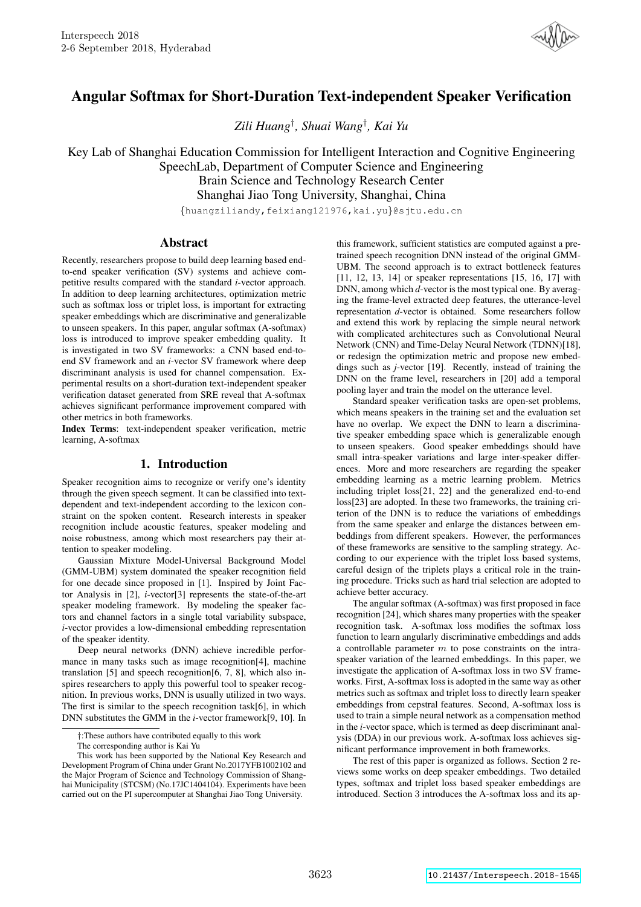

# Angular Softmax for Short-Duration Text-independent Speaker Verification

*Zili Huang*† *, Shuai Wang*† *, Kai Yu*

Key Lab of Shanghai Education Commission for Intelligent Interaction and Cognitive Engineering SpeechLab, Department of Computer Science and Engineering Brain Science and Technology Research Center

Shanghai Jiao Tong University, Shanghai, China

{huangziliandy,feixiang121976,kai.yu}@sjtu.edu.cn

## Abstract

Recently, researchers propose to build deep learning based endto-end speaker verification (SV) systems and achieve competitive results compared with the standard *i*-vector approach. In addition to deep learning architectures, optimization metric such as softmax loss or triplet loss, is important for extracting speaker embeddings which are discriminative and generalizable to unseen speakers. In this paper, angular softmax (A-softmax) loss is introduced to improve speaker embedding quality. It is investigated in two SV frameworks: a CNN based end-toend SV framework and an *i*-vector SV framework where deep discriminant analysis is used for channel compensation. Experimental results on a short-duration text-independent speaker verification dataset generated from SRE reveal that A-softmax achieves significant performance improvement compared with other metrics in both frameworks.

Index Terms: text-independent speaker verification, metric learning, A-softmax

# 1. Introduction

Speaker recognition aims to recognize or verify one's identity through the given speech segment. It can be classified into textdependent and text-independent according to the lexicon constraint on the spoken content. Research interests in speaker recognition include acoustic features, speaker modeling and noise robustness, among which most researchers pay their attention to speaker modeling.

Gaussian Mixture Model-Universal Background Model (GMM-UBM) system dominated the speaker recognition field for one decade since proposed in [1]. Inspired by Joint Factor Analysis in [2], *i*-vector[3] represents the state-of-the-art speaker modeling framework. By modeling the speaker factors and channel factors in a single total variability subspace, *i*-vector provides a low-dimensional embedding representation of the speaker identity.

Deep neural networks (DNN) achieve incredible performance in many tasks such as image recognition[4], machine translation [5] and speech recognition[6, 7, 8], which also inspires researchers to apply this powerful tool to speaker recognition. In previous works, DNN is usually utilized in two ways. The first is similar to the speech recognition task[6], in which DNN substitutes the GMM in the *i*-vector framework[9, 10]. In

†:These authors have contributed equally to this work

this framework, sufficient statistics are computed against a pretrained speech recognition DNN instead of the original GMM-UBM. The second approach is to extract bottleneck features [11, 12, 13, 14] or speaker representations [15, 16, 17] with DNN, among which *d*-vector is the most typical one. By averaging the frame-level extracted deep features, the utterance-level representation *d*-vector is obtained. Some researchers follow and extend this work by replacing the simple neural network with complicated architectures such as Convolutional Neural Network (CNN) and Time-Delay Neural Network (TDNN)[18], or redesign the optimization metric and propose new embeddings such as *j*-vector [19]. Recently, instead of training the DNN on the frame level, researchers in [20] add a temporal pooling layer and train the model on the utterance level.

Standard speaker verification tasks are open-set problems, which means speakers in the training set and the evaluation set have no overlap. We expect the DNN to learn a discriminative speaker embedding space which is generalizable enough to unseen speakers. Good speaker embeddings should have small intra-speaker variations and large inter-speaker differences. More and more researchers are regarding the speaker embedding learning as a metric learning problem. Metrics including triplet loss[21, 22] and the generalized end-to-end loss[23] are adopted. In these two frameworks, the training criterion of the DNN is to reduce the variations of embeddings from the same speaker and enlarge the distances between embeddings from different speakers. However, the performances of these frameworks are sensitive to the sampling strategy. According to our experience with the triplet loss based systems, careful design of the triplets plays a critical role in the training procedure. Tricks such as hard trial selection are adopted to achieve better accuracy.

The angular softmax (A-softmax) was first proposed in face recognition [24], which shares many properties with the speaker recognition task. A-softmax loss modifies the softmax loss function to learn angularly discriminative embeddings and adds a controllable parameter  $m$  to pose constraints on the intraspeaker variation of the learned embeddings. In this paper, we investigate the application of A-softmax loss in two SV frameworks. First, A-softmax loss is adopted in the same way as other metrics such as softmax and triplet loss to directly learn speaker embeddings from cepstral features. Second, A-softmax loss is used to train a simple neural network as a compensation method in the *i*-vector space, which is termed as deep discriminant analysis (DDA) in our previous work. A-softmax loss achieves significant performance improvement in both frameworks.

The rest of this paper is organized as follows. Section 2 reviews some works on deep speaker embeddings. Two detailed types, softmax and triplet loss based speaker embeddings are introduced. Section 3 introduces the A-softmax loss and its ap-

The corresponding author is Kai Yu

This work has been supported by the National Key Research and Development Program of China under Grant No.2017YFB1002102 and the Major Program of Science and Technology Commission of Shanghai Municipality (STCSM) (No.17JC1404104). Experiments have been carried out on the PI supercomputer at Shanghai Jiao Tong University.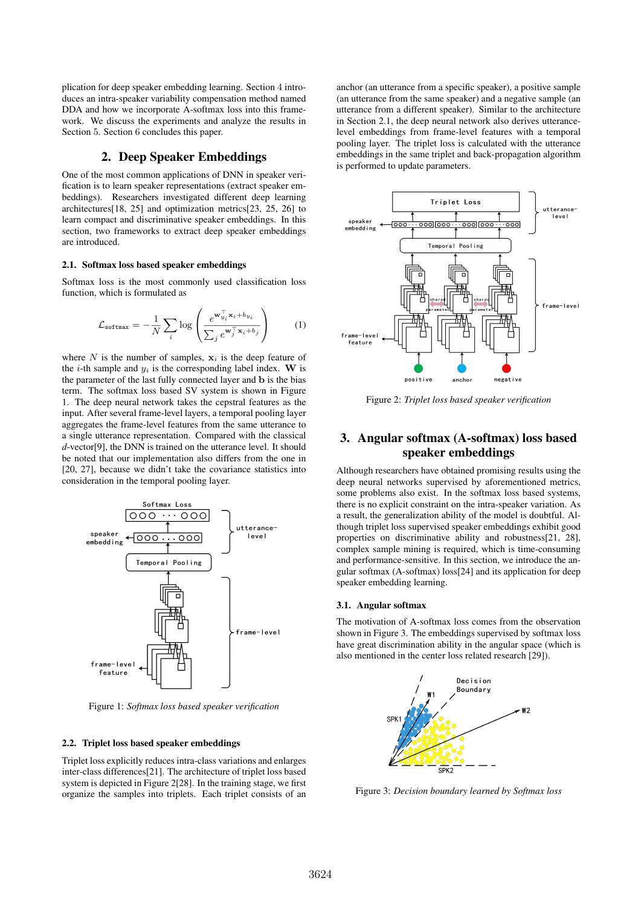plication for deep speaker embedding learning. Section 4 introduces an intra-speaker variability compensation method named DDA and how we incorporate A-softmax loss into this framework. We discuss the experiments and analyze the results in Section 5. Section 6 concludes this paper.

# 2. Deep Speaker Embeddings

One of the most common applications of DNN in speaker verification is to learn speaker representations (extract speaker embeddings). Researchers investigated different deep learning architectures[18, 25] and optimization metrics[23, 25, 26] to learn compact and discriminative speaker embeddings. In this section, two frameworks to extract deep speaker embeddings are introduced.

### 2.1. Softmax loss based speaker embeddings

Softmax loss is the most commonly used classification loss function, which is formulated as

$$
\mathcal{L}_{\text{softmax}} = -\frac{1}{N} \sum_{i} \log \left( \frac{e^{\mathbf{w}_{y_i}^{\top} \mathbf{x}_i + b_{y_i}}}{\sum_{j} e^{\mathbf{w}_j^{\top} \mathbf{x}_i + b_j}} \right) \tag{1}
$$

where N is the number of samples,  $x_i$  is the deep feature of the *i*-th sample and  $y_i$  is the corresponding label index. W is the parameter of the last fully connected layer and b is the bias term. The softmax loss based SV system is shown in Figure 1. The deep neural network takes the cepstral features as the input. After several frame-level layers, a temporal pooling layer aggregates the frame-level features from the same utterance to a single utterance representation. Compared with the classical *d*-vector[9], the DNN is trained on the utterance level. It should be noted that our implementation also differs from the one in [20, 27], because we didn't take the covariance statistics into consideration in the temporal pooling layer.



Figure 1: *Softmax loss based speaker verification*

### 2.2. Triplet loss based speaker embeddings

Triplet loss explicitly reduces intra-class variations and enlarges inter-class differences[21]. The architecture of triplet loss based system is depicted in Figure 2[28]. In the training stage, we first organize the samples into triplets. Each triplet consists of an anchor (an utterance from a specific speaker), a positive sample (an utterance from the same speaker) and a negative sample (an utterance from a different speaker). Similar to the architecture in Section 2.1, the deep neural network also derives utterancelevel embeddings from frame-level features with a temporal pooling layer. The triplet loss is calculated with the utterance embeddings in the same triplet and back-propagation algorithm is performed to update parameters.



Figure 2: *Triplet loss based speaker verification*

# 3. Angular softmax (A-softmax) loss based speaker embeddings

Although researchers have obtained promising results using the deep neural networks supervised by aforementioned metrics, some problems also exist. In the softmax loss based systems, there is no explicit constraint on the intra-speaker variation. As a result, the generalization ability of the model is doubtful. Although triplet loss supervised speaker embeddings exhibit good properties on discriminative ability and robustness[21, 28], complex sample mining is required, which is time-consuming and performance-sensitive. In this section, we introduce the angular softmax (A-softmax) loss[24] and its application for deep speaker embedding learning.

## 3.1. Angular softmax

The motivation of A-softmax loss comes from the observation shown in Figure 3. The embeddings supervised by softmax loss have great discrimination ability in the angular space (which is also mentioned in the center loss related research [29]).



Figure 3: *Decision boundary learned by Softmax loss*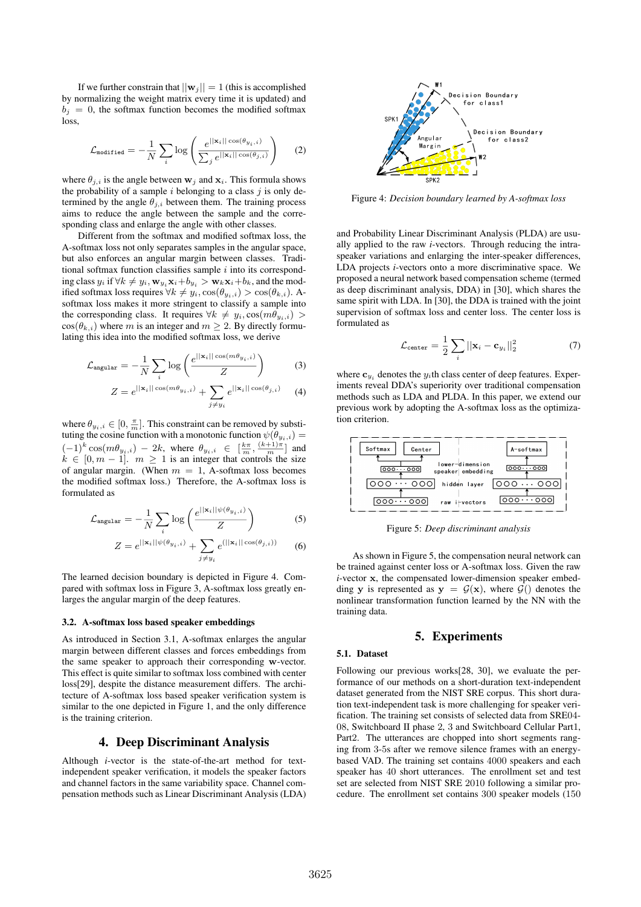If we further constrain that  $||\mathbf{w}_i|| = 1$  (this is accomplished by normalizing the weight matrix every time it is updated) and  $b_j = 0$ , the softmax function becomes the modified softmax loss,

$$
\mathcal{L}_{\text{modified}} = -\frac{1}{N} \sum_{i} \log \left( \frac{e^{||\mathbf{x}_{i}||\cos(\theta_{y_{i},i})}}{\sum_{j} e^{||\mathbf{x}_{i}||\cos(\theta_{j,i})}} \right) \tag{2}
$$

where  $\theta_{j,i}$  is the angle between  $w_j$  and  $x_i$ . This formula shows the probability of a sample  $i$  belonging to a class  $j$  is only determined by the angle  $\theta_{j,i}$  between them. The training process aims to reduce the angle between the sample and the corresponding class and enlarge the angle with other classes.

Different from the softmax and modified softmax loss, the A-softmax loss not only separates samples in the angular space, but also enforces an angular margin between classes. Traditional softmax function classifies sample  $i$  into its corresponding class  $y_i$  if  $\forall k \neq y_i$ ,  $\mathbf{w}_{y_i} \mathbf{x}_i + b_{y_i} > \mathbf{w}_k \mathbf{x}_i + b_k$ , and the modified softmax loss requires  $\forall k \neq y_i$ ,  $\cos(\theta_{y_i,i}) > \cos(\theta_{k,i})$ . Asoftmax loss makes it more stringent to classify a sample into the corresponding class. It requires  $\forall k \neq y_i$ ,  $\cos(m\theta_{y_i,i})$  $cos(\theta_{k,i})$  where m is an integer and  $m > 2$ . By directly formulating this idea into the modified softmax loss, we derive

$$
\mathcal{L}_{\text{angular}} = -\frac{1}{N} \sum_{i} \log \left( \frac{e^{||\mathbf{x}_{i}||\cos(m\theta_{y_{i},i})}}{Z} \right) \tag{3}
$$

$$
Z = e^{\|\mathbf{x}_i\| \cos(m\theta_{y_i,i})} + \sum_{j \neq y_i} e^{\|\mathbf{x}_i\| \cos(\theta_{j,i})}
$$
 (4)

where  $\theta_{y_i,i} \in [0, \frac{\pi}{m}]$ . This constraint can be removed by substituting the cosine function with a monotonic function  $\psi(\theta_{y_i,i}) =$  $(-1)^k \cos(m\theta_{y_i,i}) - 2k$ , where  $\theta_{y_i,i} \in \left[\frac{k\pi}{m}, \frac{(k+1)\pi}{m}\right]$  and  $k \in [0, m - 1]$ .  $m \geq 1$  is an integer that controls the size of angular margin. (When  $m = 1$ , A-softmax loss becomes the modified softmax loss.) Therefore, the A-softmax loss is formulated as

$$
\mathcal{L}_{\text{angular}} = -\frac{1}{N} \sum_{i} \log \left( \frac{e^{||\mathbf{x}_{i}||\psi(\theta_{y_{i},i})}}{Z} \right) \tag{5}
$$

$$
Z = e^{||\mathbf{x}_i||\psi(\theta_{y_i,i})} + \sum_{j \neq y_i} e^{(||\mathbf{x}_i|| \cos(\theta_{j,i}))}
$$
 (6)

The learned decision boundary is depicted in Figure 4. Compared with softmax loss in Figure 3, A-softmax loss greatly enlarges the angular margin of the deep features.

#### 3.2. A-softmax loss based speaker embeddings

As introduced in Section 3.1, A-softmax enlarges the angular margin between different classes and forces embeddings from the same speaker to approach their corresponding w-vector. This effect is quite similar to softmax loss combined with center loss[29], despite the distance measurement differs. The architecture of A-softmax loss based speaker verification system is similar to the one depicted in Figure 1, and the only difference is the training criterion.

## 4. Deep Discriminant Analysis

Although *i*-vector is the state-of-the-art method for textindependent speaker verification, it models the speaker factors and channel factors in the same variability space. Channel compensation methods such as Linear Discriminant Analysis (LDA)



Figure 4: *Decision boundary learned by A-softmax loss*

and Probability Linear Discriminant Analysis (PLDA) are usually applied to the raw *i*-vectors. Through reducing the intraspeaker variations and enlarging the inter-speaker differences, LDA projects *i*-vectors onto a more discriminative space. We proposed a neural network based compensation scheme (termed as deep discriminant analysis, DDA) in [30], which shares the same spirit with LDA. In [30], the DDA is trained with the joint supervision of softmax loss and center loss. The center loss is formulated as

$$
\mathcal{L}_{\text{center}} = \frac{1}{2} \sum_{i} ||\mathbf{x}_{i} - \mathbf{c}_{y_{i}}||_{2}^{2} \tag{7}
$$

where  $\mathbf{c}_{y_i}$  denotes the  $y_i$ th class center of deep features. Experiments reveal DDA's superiority over traditional compensation methods such as LDA and PLDA. In this paper, we extend our previous work by adopting the A-softmax loss as the optimization criterion.



Figure 5: *Deep discriminant analysis*

As shown in Figure 5, the compensation neural network can be trained against center loss or A-softmax loss. Given the raw *i*-vector x, the compensated lower-dimension speaker embedding y is represented as  $y = \mathcal{G}(x)$ , where  $\mathcal{G}(\zeta)$  denotes the nonlinear transformation function learned by the NN with the training data.

## 5. Experiments

## 5.1. Dataset

Following our previous works[28, 30], we evaluate the performance of our methods on a short-duration text-independent dataset generated from the NIST SRE corpus. This short duration text-independent task is more challenging for speaker verification. The training set consists of selected data from SRE04- 08, Switchboard II phase 2, 3 and Switchboard Cellular Part1, Part2. The utterances are chopped into short segments ranging from 3-5s after we remove silence frames with an energybased VAD. The training set contains 4000 speakers and each speaker has 40 short utterances. The enrollment set and test set are selected from NIST SRE 2010 following a similar procedure. The enrollment set contains 300 speaker models (150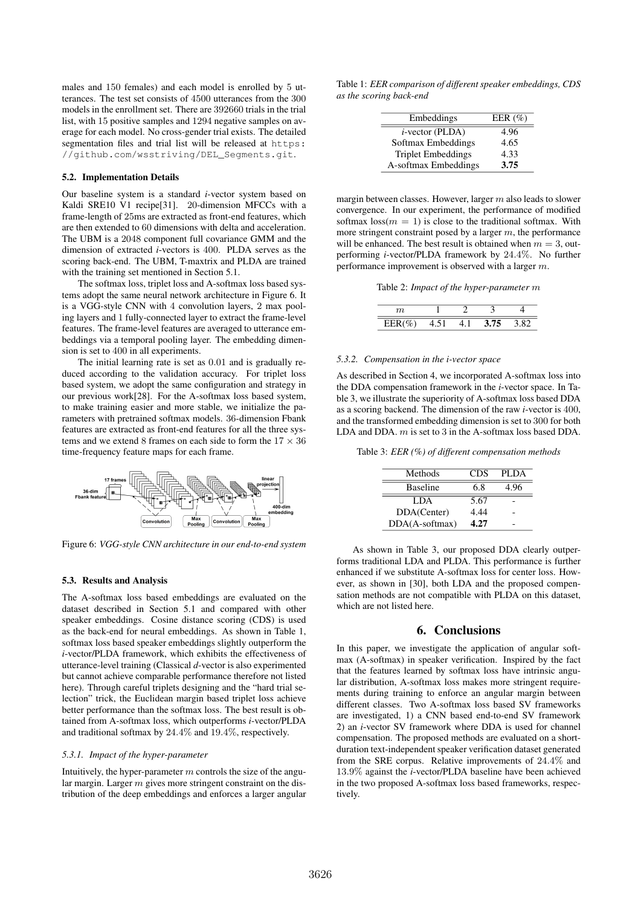males and 150 females) and each model is enrolled by 5 utterances. The test set consists of 4500 utterances from the 300 models in the enrollment set. There are 392660 trials in the trial list, with 15 positive samples and 1294 negative samples on average for each model. No cross-gender trial exists. The detailed segmentation files and trial list will be released at https: //github.com/wsstriving/DEL\_Segments.git.

#### 5.2. Implementation Details

Our baseline system is a standard *i*-vector system based on Kaldi SRE10 V1 recipe[31]. 20-dimension MFCCs with a frame-length of 25ms are extracted as front-end features, which are then extended to 60 dimensions with delta and acceleration. The UBM is a 2048 component full covariance GMM and the dimension of extracted *i*-vectors is 400. PLDA serves as the scoring back-end. The UBM, T-maxtrix and PLDA are trained with the training set mentioned in Section 5.1.

The softmax loss, triplet loss and A-softmax loss based systems adopt the same neural network architecture in Figure 6. It is a VGG-style CNN with 4 convolution layers, 2 max pooling layers and 1 fully-connected layer to extract the frame-level features. The frame-level features are averaged to utterance embeddings via a temporal pooling layer. The embedding dimension is set to 400 in all experiments.

The initial learning rate is set as 0.01 and is gradually reduced according to the validation accuracy. For triplet loss based system, we adopt the same configuration and strategy in our previous work[28]. For the A-softmax loss based system, to make training easier and more stable, we initialize the parameters with pretrained softmax models. 36-dimension Fbank features are extracted as front-end features for all the three systems and we extend 8 frames on each side to form the  $17 \times 36$ time-frequency feature maps for each frame.



Figure 6: *VGG-style CNN architecture in our end-to-end system*

#### 5.3. Results and Analysis

The A-softmax loss based embeddings are evaluated on the dataset described in Section 5.1 and compared with other speaker embeddings. Cosine distance scoring (CDS) is used as the back-end for neural embeddings. As shown in Table 1, softmax loss based speaker embeddings slightly outperform the *i*-vector/PLDA framework, which exhibits the effectiveness of utterance-level training (Classical *d*-vector is also experimented but cannot achieve comparable performance therefore not listed here). Through careful triplets designing and the "hard trial selection" trick, the Euclidean margin based triplet loss achieve better performance than the softmax loss. The best result is obtained from A-softmax loss, which outperforms *i*-vector/PLDA and traditional softmax by 24.4% and 19.4%, respectively.

## *5.3.1. Impact of the hyper-parameter*

Intuitively, the hyper-parameter  $m$  controls the size of the angular margin. Larger  $m$  gives more stringent constraint on the distribution of the deep embeddings and enforces a larger angular

Table 1: *EER comparison of different speaker embeddings, CDS as the scoring back-end*

| Embeddings                | EER $(\% )$ |
|---------------------------|-------------|
| $i$ -vector (PLDA)        | 4.96        |
| Softmax Embeddings        | 4.65        |
| <b>Triplet Embeddings</b> | 4.33        |
| A-softmax Embeddings      | 3.75        |

margin between classes. However, larger  $m$  also leads to slower convergence. In our experiment, the performance of modified softmax  $\text{loss}(m = 1)$  is close to the traditional softmax. With more stringent constraint posed by a larger  $m$ , the performance will be enhanced. The best result is obtained when  $m = 3$ , outperforming *i*-vector/PLDA framework by 24.4%. No further performance improvement is observed with a larger m.

Table 2: *Impact of the hyper-parameter* m

| Ίl                   |  |             |  |
|----------------------|--|-------------|--|
| LLIN<br>$\mathbf{v}$ |  | <b>X 75</b> |  |

#### *5.3.2. Compensation in the i-vector space*

As described in Section 4, we incorporated A-softmax loss into the DDA compensation framework in the *i*-vector space. In Table 3, we illustrate the superiority of A-softmax loss based DDA as a scoring backend. The dimension of the raw *i*-vector is 400, and the transformed embedding dimension is set to 300 for both LDA and DDA. m is set to 3 in the A-softmax loss based DDA.

Table 3: *EER (%) of different compensation methods*

| Methods         | CDS  | PLDA |
|-----------------|------|------|
| <b>Baseline</b> | 6.8  | 4.96 |
| LDA.            | 5.67 |      |
| DDA(Center)     | 4.44 |      |
| DDA(A-softmax)  | 4.27 |      |

As shown in Table 3, our proposed DDA clearly outperforms traditional LDA and PLDA. This performance is further enhanced if we substitute A-softmax loss for center loss. However, as shown in [30], both LDA and the proposed compensation methods are not compatible with PLDA on this dataset, which are not listed here.

## 6. Conclusions

In this paper, we investigate the application of angular softmax (A-softmax) in speaker verification. Inspired by the fact that the features learned by softmax loss have intrinsic angular distribution, A-softmax loss makes more stringent requirements during training to enforce an angular margin between different classes. Two A-softmax loss based SV frameworks are investigated, 1) a CNN based end-to-end SV framework 2) an *i*-vector SV framework where DDA is used for channel compensation. The proposed methods are evaluated on a shortduration text-independent speaker verification dataset generated from the SRE corpus. Relative improvements of 24.4% and 13.9% against the *i*-vector/PLDA baseline have been achieved in the two proposed A-softmax loss based frameworks, respectively.